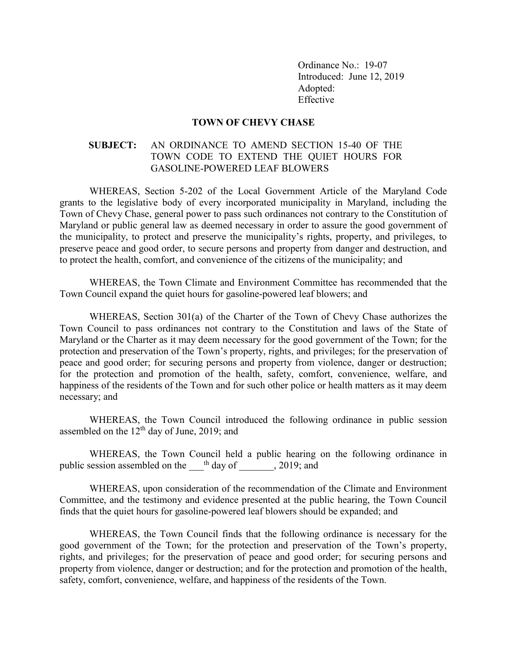Ordinance No.: 19-07 Introduced: June 12, 2019 Adopted: Effective

## **TOWN OF CHEVY CHASE**

## **SUBJECT:** AN ORDINANCE TO AMEND SECTION 15-40 OF THE TOWN CODE TO EXTEND THE QUIET HOURS FOR GASOLINE-POWERED LEAF BLOWERS

WHEREAS, Section 5-202 of the Local Government Article of the Maryland Code grants to the legislative body of every incorporated municipality in Maryland, including the Town of Chevy Chase, general power to pass such ordinances not contrary to the Constitution of Maryland or public general law as deemed necessary in order to assure the good government of the municipality, to protect and preserve the municipality's rights, property, and privileges, to preserve peace and good order, to secure persons and property from danger and destruction, and to protect the health, comfort, and convenience of the citizens of the municipality; and

WHEREAS, the Town Climate and Environment Committee has recommended that the Town Council expand the quiet hours for gasoline-powered leaf blowers; and

WHEREAS, Section 301(a) of the Charter of the Town of Chevy Chase authorizes the Town Council to pass ordinances not contrary to the Constitution and laws of the State of Maryland or the Charter as it may deem necessary for the good government of the Town; for the protection and preservation of the Town's property, rights, and privileges; for the preservation of peace and good order; for securing persons and property from violence, danger or destruction; for the protection and promotion of the health, safety, comfort, convenience, welfare, and happiness of the residents of the Town and for such other police or health matters as it may deem necessary; and

WHEREAS, the Town Council introduced the following ordinance in public session assembled on the  $12<sup>th</sup>$  day of June, 2019; and

WHEREAS, the Town Council held a public hearing on the following ordinance in public session assembled on the  $\Box$ <sup>th</sup> day of  $\Box$ , 2019; and

WHEREAS, upon consideration of the recommendation of the Climate and Environment Committee, and the testimony and evidence presented at the public hearing, the Town Council finds that the quiet hours for gasoline-powered leaf blowers should be expanded; and

WHEREAS, the Town Council finds that the following ordinance is necessary for the good government of the Town; for the protection and preservation of the Town's property, rights, and privileges; for the preservation of peace and good order; for securing persons and property from violence, danger or destruction; and for the protection and promotion of the health, safety, comfort, convenience, welfare, and happiness of the residents of the Town.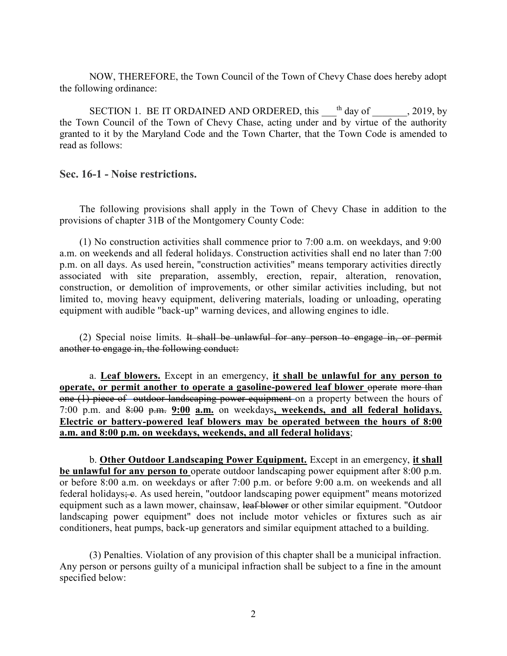NOW, THEREFORE, the Town Council of the Town of Chevy Chase does hereby adopt the following ordinance:

SECTION 1. BE IT ORDAINED AND ORDERED, this  $\Box$ <sup>th</sup> day of  $\Box$ , 2019, by the Town Council of the Town of Chevy Chase, acting under and by virtue of the authority granted to it by the Maryland Code and the Town Charter, that the Town Code is amended to read as follows:

**Sec. 16-1 - Noise restrictions.**

The following provisions shall apply in the Town of Chevy Chase in addition to the provisions of chapter 31B of the Montgomery County Code:

(1) No construction activities shall commence prior to 7:00 a.m. on weekdays, and 9:00 a.m. on weekends and all federal holidays. Construction activities shall end no later than 7:00 p.m. on all days. As used herein, "construction activities" means temporary activities directly associated with site preparation, assembly, erection, repair, alteration, renovation, construction, or demolition of improvements, or other similar activities including, but not limited to, moving heavy equipment, delivering materials, loading or unloading, operating equipment with audible "back-up" warning devices, and allowing engines to idle.

(2) Special noise limits. It shall be unlawful for any person to engage in, or permit another to engage in, the following conduct:

a. **Leaf blowers.** Except in an emergency, **it shall be unlawful for any person to operate, or permit another to operate a gasoline-powered leaf blower operate more than** one (1) piece of outdoor landscaping power equipment on a property between the hours of 7:00 p.m. and 8:00 p.m. **9:00 a.m.** on weekdays**, weekends, and all federal holidays. Electric or battery-powered leaf blowers may be operated between the hours of 8:00 a.m. and 8:00 p.m. on weekdays, weekends, and all federal holidays**;

b. **Other Outdoor Landscaping Power Equipment.** Except in an emergency, **it shall be unlawful for any person to** operate outdoor landscaping power equipment after 8:00 p.m. or before 8:00 a.m. on weekdays or after 7:00 p.m. or before 9:00 a.m. on weekends and all federal holidays; e. As used herein, "outdoor landscaping power equipment" means motorized equipment such as a lawn mower, chainsaw, leaf blower or other similar equipment. "Outdoor landscaping power equipment" does not include motor vehicles or fixtures such as air conditioners, heat pumps, back-up generators and similar equipment attached to a building.

(3) Penalties. Violation of any provision of this chapter shall be a municipal infraction. Any person or persons guilty of a municipal infraction shall be subject to a fine in the amount specified below: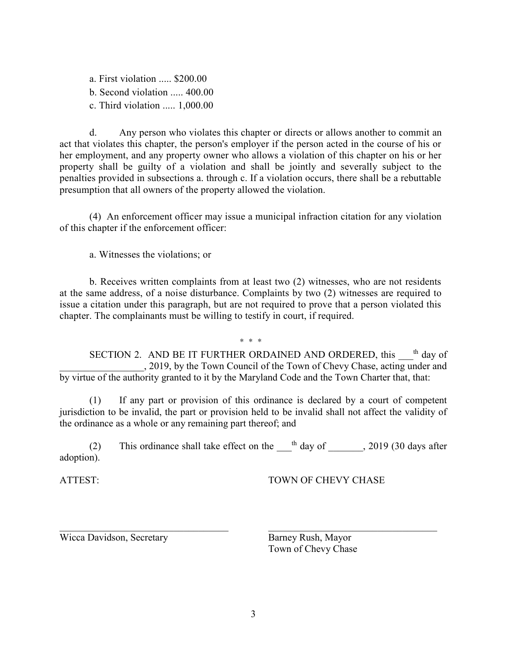a. First violation ..... \$200.00 b. Second violation ..... 400.00 c. Third violation ..... 1,000.00

d. Any person who violates this chapter or directs or allows another to commit an act that violates this chapter, the person's employer if the person acted in the course of his or her employment, and any property owner who allows a violation of this chapter on his or her property shall be guilty of a violation and shall be jointly and severally subject to the penalties provided in subsections a. through c. If a violation occurs, there shall be a rebuttable presumption that all owners of the property allowed the violation.

(4) An enforcement officer may issue a municipal infraction citation for any violation of this chapter if the enforcement officer:

a. Witnesses the violations; or

b. Receives written complaints from at least two (2) witnesses, who are not residents at the same address, of a noise disturbance. Complaints by two (2) witnesses are required to issue a citation under this paragraph, but are not required to prove that a person violated this chapter. The complainants must be willing to testify in court, if required.

\* \* \*

SECTION 2. AND BE IT FURTHER ORDAINED AND ORDERED, this <sup>th</sup> day of \_\_\_\_\_\_\_\_\_\_\_\_\_\_\_\_\_, 2019, by the Town Council of the Town of Chevy Chase, acting under and by virtue of the authority granted to it by the Maryland Code and the Town Charter that, that:

(1) If any part or provision of this ordinance is declared by a court of competent jurisdiction to be invalid, the part or provision held to be invalid shall not affect the validity of the ordinance as a whole or any remaining part thereof; and

(2) This ordinance shall take effect on the  $\frac{th}{\text{day of}}$ , 2019 (30 days after adoption).

ATTEST: TOWN OF CHEVY CHASE

Wicca Davidson, Secretary Barney Rush, Mayor

Town of Chevy Chase